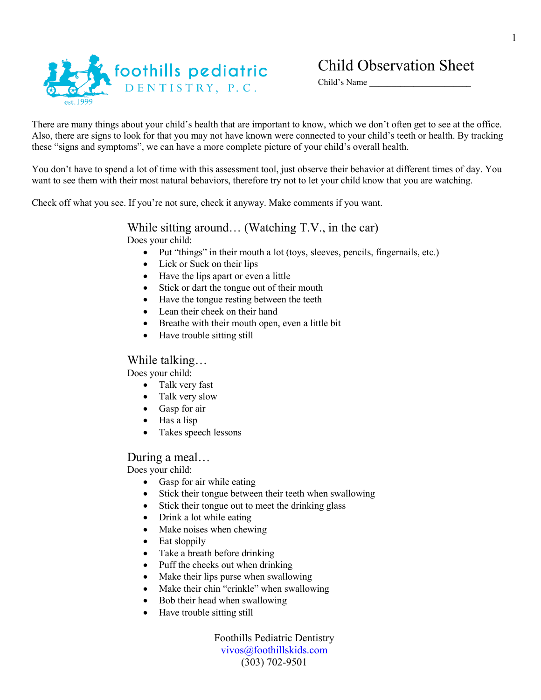

# foothills pediatric DENTISTRY, P.C.

## Child Observation Sheet

Child's Name

There are many things about your child's health that are important to know, which we don't often get to see at the office. Also, there are signs to look for that you may not have known were connected to your child's teeth or health. By tracking these "signs and symptoms", we can have a more complete picture of your child's overall health.

You don't have to spend a lot of time with this assessment tool, just observe their behavior at different times of day. You want to see them with their most natural behaviors, therefore try not to let your child know that you are watching.

Check off what you see. If you're not sure, check it anyway. Make comments if you want.

#### While sitting around… (Watching T.V., in the car) Does your child:

- Put "things" in their mouth a lot (toys, sleeves, pencils, fingernails, etc.)
- Lick or Suck on their lips
- Have the lips apart or even a little
- Stick or dart the tongue out of their mouth
- Have the tongue resting between the teeth
- Lean their cheek on their hand
- Breathe with their mouth open, even a little bit
- Have trouble sitting still

#### While talking…

Does your child:

- Talk very fast
- Talk very slow
- Gasp for air
- Has a lisp
- Takes speech lessons

#### During a meal…

Does your child:

- Gasp for air while eating
- Stick their tongue between their teeth when swallowing
- Stick their tongue out to meet the drinking glass
- Drink a lot while eating
- Make noises when chewing
- Eat sloppily
- Take a breath before drinking
- Puff the cheeks out when drinking
- Make their lips purse when swallowing
- Make their chin "crinkle" when swallowing
- Bob their head when swallowing
- Have trouble sitting still

Foothills Pediatric Dentistry [vivos@foothillskids.com](mailto:vivos@foothillskids.com) (303) 702-9501